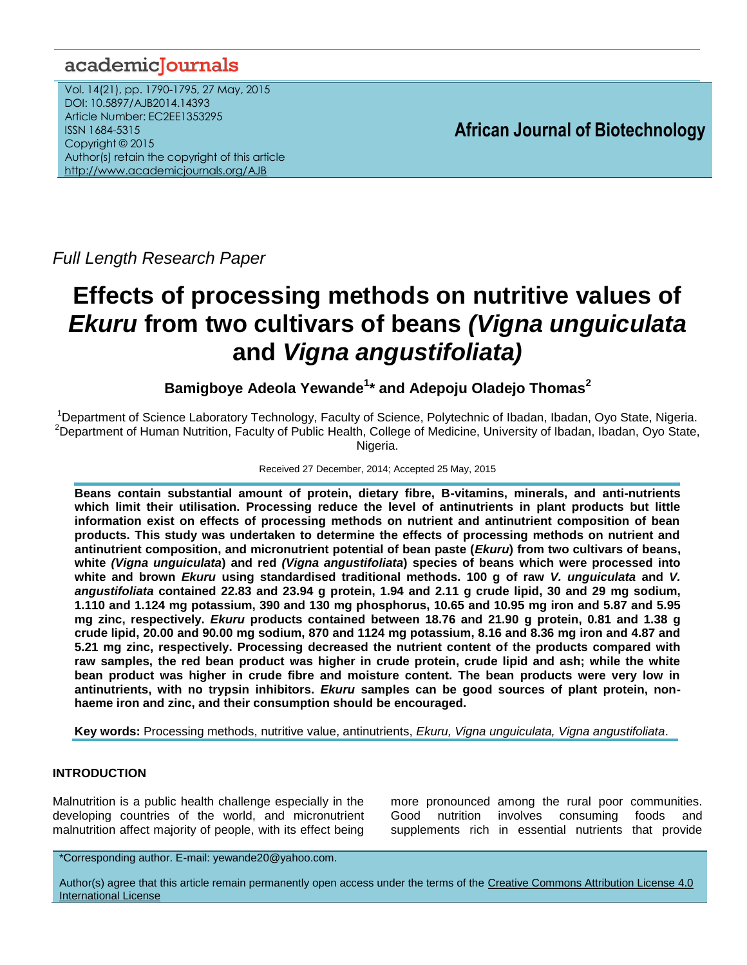## academicJournals

Vol. 14(21), pp. 1790-1795, 27 May, 2015 DOI: 10.5897/AJB2014.14393 Article Number: EC2EE1353295 ISSN 1684-5315 Copyright © 2015 Author(s) retain the copyright of this article <http://www.academicjournals.org/AJB>

**African Journal of Biotechnology**

*Full Length Research Paper*

# **Effects of processing methods on nutritive values of**  *Ekuru* **from two cultivars of beans** *(Vigna unguiculata*  **and** *Vigna angustifoliata)*

**Bamigboye Adeola Yewande<sup>1</sup> \* and Adepoju Oladejo Thomas<sup>2</sup>**

<sup>1</sup>Department of Science Laboratory Technology, Faculty of Science, Polytechnic of Ibadan, Ibadan, Oyo State, Nigeria. <sup>2</sup>Department of Human Nutrition, Faculty of Public Health, College of Medicine, University of Ibadan, Ibadan, Oyo State, Nigeria.

### Received 27 December, 2014; Accepted 25 May, 2015

**Beans contain substantial amount of protein, dietary fibre, B-vitamins, minerals, and anti-nutrients which limit their utilisation. Processing reduce the level of antinutrients in plant products but little information exist on effects of processing methods on nutrient and antinutrient composition of bean products. This study was undertaken to determine the effects of processing methods on nutrient and antinutrient composition, and micronutrient potential of bean paste (***Ekuru***) from two cultivars of beans, white** *(Vigna unguiculata***) and red** *(Vigna angustifoliata***) species of beans which were processed into white and brown** *Ekuru* **using standardised traditional methods. 100 g of raw** *V. unguiculata* **and** *V. angustifoliata* **contained 22.83 and 23.94 g protein, 1.94 and 2.11 g crude lipid, 30 and 29 mg sodium, 1.110 and 1.124 mg potassium, 390 and 130 mg phosphorus, 10.65 and 10.95 mg iron and 5.87 and 5.95 mg zinc, respectively.** *Ekuru* **products contained between 18.76 and 21.90 g protein, 0.81 and 1.38 g crude lipid, 20.00 and 90.00 mg sodium, 870 and 1124 mg potassium, 8.16 and 8.36 mg iron and 4.87 and 5.21 mg zinc, respectively. Processing decreased the nutrient content of the products compared with raw samples, the red bean product was higher in crude protein, crude lipid and ash; while the white bean product was higher in crude fibre and moisture content. The bean products were very low in antinutrients, with no trypsin inhibitors.** *Ekuru* **samples can be good sources of plant protein, nonhaeme iron and zinc, and their consumption should be encouraged.**

**Key words:** Processing methods, nutritive value, antinutrients, *Ekuru, Vigna unguiculata, Vigna angustifoliata*.

## **INTRODUCTION**

Malnutrition is a public health challenge especially in the developing countries of the world, and micronutrient malnutrition affect majority of people, with its effect being more pronounced among the rural poor communities. Good nutrition involves consuming foods and supplements rich in essential nutrients that provide

\*Corresponding author. E-mail: yewande20@yahoo.com.

Author(s) agree that this article remain permanently open access under the terms of the Creative Commons Attribution License 4.0 [International License](http://creativecommons.org/licenses/by/4.0/deed.en_US)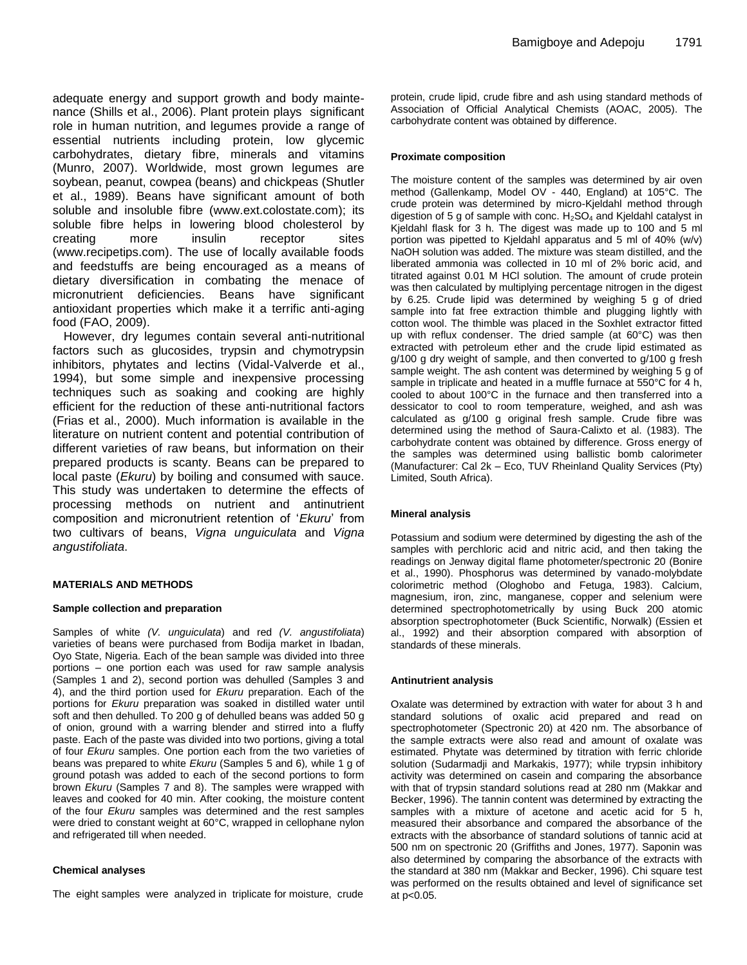adequate energy and support growth and body maintenance (Shills et al., 2006). Plant protein plays significant role in human nutrition, and legumes provide a range of essential nutrients including protein, low glycemic carbohydrates, dietary fibre, minerals and vitamins (Munro, 2007). Worldwide, most grown legumes are soybean, peanut, cowpea (beans) and chickpeas (Shutler et al., 1989). Beans have significant amount of both soluble and insoluble fibre (www.ext.colostate.com); its soluble fibre helps in lowering blood cholesterol by creating more insulin receptor sites (www.recipetips.com). The use of locally available foods and feedstuffs are being encouraged as a means of dietary diversification in combating the menace of micronutrient deficiencies. Beans have significant antioxidant properties which make it a terrific anti-aging food (FAO, 2009).

However, dry legumes contain several anti-nutritional factors such as glucosides, trypsin and chymotrypsin inhibitors, phytates and lectins (Vidal-Valverde et al., 1994), but some simple and inexpensive processing techniques such as soaking and cooking are highly efficient for the reduction of these anti-nutritional factors (Frias et al., 2000). Much information is available in the literature on nutrient content and potential contribution of different varieties of raw beans, but information on their prepared products is scanty. Beans can be prepared to local paste (*Ekuru*) by boiling and consumed with sauce. This study was undertaken to determine the effects of processing methods on nutrient and antinutrient composition and micronutrient retention of '*Ekuru*' from two cultivars of beans, *Vigna unguiculata* and *Vigna angustifoliata*.

#### **MATERIALS AND METHODS**

#### **Sample collection and preparation**

Samples of white *(V. unguiculata*) and red *(V. angustifoliata*) varieties of beans were purchased from Bodija market in Ibadan, Oyo State, Nigeria. Each of the bean sample was divided into three portions – one portion each was used for raw sample analysis (Samples 1 and 2), second portion was dehulled (Samples 3 and 4), and the third portion used for *Ekuru* preparation. Each of the portions for *Ekuru* preparation was soaked in distilled water until soft and then dehulled. To 200 g of dehulled beans was added 50 g of onion, ground with a warring blender and stirred into a fluffy paste. Each of the paste was divided into two portions, giving a total of four *Ekuru* samples. One portion each from the two varieties of beans was prepared to white *Ekuru* (Samples 5 and 6)*,* while 1 g of ground potash was added to each of the second portions to form brown *Ekuru* (Samples 7 and 8). The samples were wrapped with leaves and cooked for 40 min. After cooking, the moisture content of the four *Ekuru* samples was determined and the rest samples were dried to constant weight at 60°C, wrapped in cellophane nylon and refrigerated till when needed.

#### **Chemical analyses**

The eight samples were analyzed in triplicate for moisture, crude

protein, crude lipid, crude fibre and ash using standard methods of Association of Official Analytical Chemists (AOAC, 2005). The carbohydrate content was obtained by difference.

#### **Proximate composition**

The moisture content of the samples was determined by air oven method (Gallenkamp, Model OV - 440, England) at 105°C. The crude protein was determined by micro-Kjeldahl method through digestion of 5 g of sample with conc.  $H_2SO_4$  and Kjeldahl catalyst in Kjeldahl flask for 3 h. The digest was made up to 100 and 5 ml portion was pipetted to Kjeldahl apparatus and 5 ml of 40% (w/v) NaOH solution was added. The mixture was steam distilled, and the liberated ammonia was collected in 10 ml of 2% boric acid, and titrated against 0.01 M HCl solution. The amount of crude protein was then calculated by multiplying percentage nitrogen in the digest by 6.25. Crude lipid was determined by weighing 5 g of dried sample into fat free extraction thimble and plugging lightly with cotton wool. The thimble was placed in the Soxhlet extractor fitted up with reflux condenser. The dried sample (at 60°C) was then extracted with petroleum ether and the crude lipid estimated as g/100 g dry weight of sample, and then converted to g/100 g fresh sample weight. The ash content was determined by weighing 5 g of sample in triplicate and heated in a muffle furnace at 550°C for 4 h, cooled to about 100°C in the furnace and then transferred into a dessicator to cool to room temperature, weighed, and ash was calculated as g/100 g original fresh sample. Crude fibre was determined using the method of Saura-Calixto et al. (1983). The carbohydrate content was obtained by difference. Gross energy of the samples was determined using ballistic bomb calorimeter (Manufacturer: Cal 2k – Eco, TUV Rheinland Quality Services (Pty) Limited, South Africa).

#### **Mineral analysis**

Potassium and sodium were determined by digesting the ash of the samples with perchloric acid and nitric acid, and then taking the readings on Jenway digital flame photometer/spectronic 20 (Bonire et al., 1990). Phosphorus was determined by vanado-molybdate colorimetric method (Ologhobo and Fetuga, 1983). Calcium, magnesium, iron, zinc, manganese, copper and selenium were determined spectrophotometrically by using Buck 200 atomic absorption spectrophotometer (Buck Scientific, Norwalk) (Essien et al., 1992) and their absorption compared with absorption of standards of these minerals.

#### **Antinutrient analysis**

Oxalate was determined by extraction with water for about 3 h and standard solutions of oxalic acid prepared and read on spectrophotometer (Spectronic 20) at 420 nm. The absorbance of the sample extracts were also read and amount of oxalate was estimated. Phytate was determined by titration with ferric chloride solution (Sudarmadji and Markakis, 1977); while trypsin inhibitory activity was determined on casein and comparing the absorbance with that of trypsin standard solutions read at 280 nm (Makkar and Becker, 1996). The tannin content was determined by extracting the samples with a mixture of acetone and acetic acid for 5 h, measured their absorbance and compared the absorbance of the extracts with the absorbance of standard solutions of tannic acid at 500 nm on spectronic 20 (Griffiths and Jones, 1977). Saponin was also determined by comparing the absorbance of the extracts with the standard at 380 nm (Makkar and Becker, 1996). Chi square test was performed on the results obtained and level of significance set at p<0.05.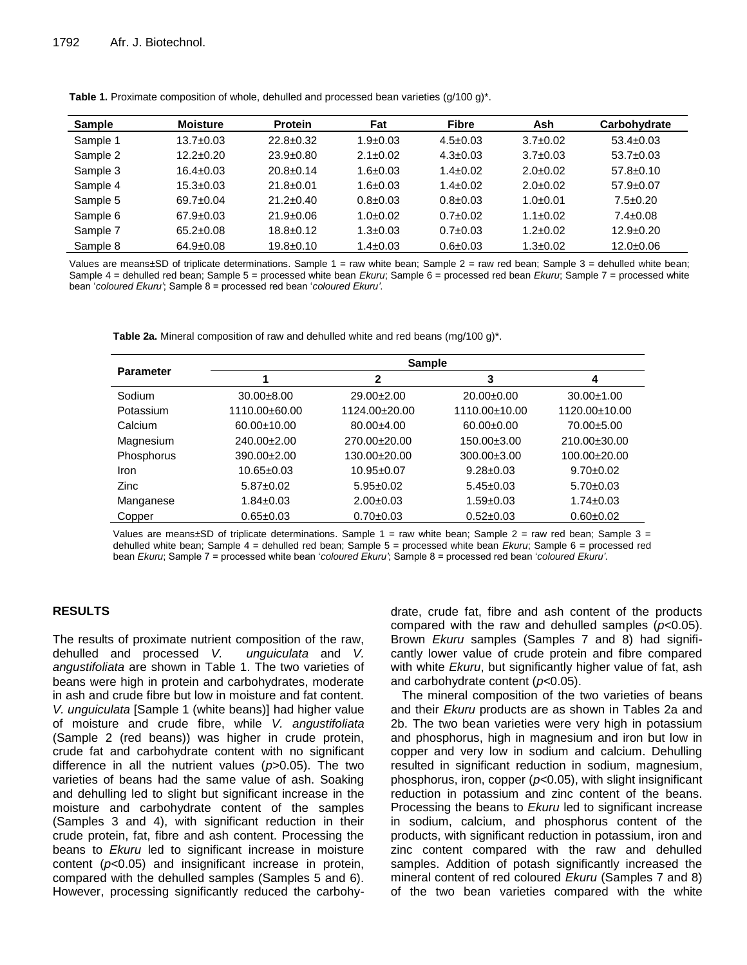| <b>Sample</b> | <b>Moisture</b> | <b>Protein</b>  | Fat            | <b>Fibre</b>   | Ash            | Carbohydrate    |
|---------------|-----------------|-----------------|----------------|----------------|----------------|-----------------|
| Sample 1      | $13.7 \pm 0.03$ | $22.8 \pm 0.32$ | $1.9 \pm 0.03$ | $4.5 \pm 0.03$ | $3.7 \pm 0.02$ | $53.4 \pm 0.03$ |
| Sample 2      | $12.2 \pm 0.20$ | $23.9 \pm 0.80$ | $2.1 \pm 0.02$ | $4.3 \pm 0.03$ | $3.7 \pm 0.03$ | $53.7 \pm 0.03$ |
| Sample 3      | $16.4 \pm 0.03$ | $20.8 \pm 0.14$ | $1.6 \pm 0.03$ | $1.4 \pm 0.02$ | $2.0\pm0.02$   | $57.8 \pm 0.10$ |
| Sample 4      | $15.3 \pm 0.03$ | $21.8 \pm 0.01$ | $1.6 \pm 0.03$ | $1.4 \pm 0.02$ | $2.0\pm0.02$   | $57.9 \pm 0.07$ |
| Sample 5      | $69.7 \pm 0.04$ | $21.2 \pm 0.40$ | $0.8 \pm 0.03$ | $0.8 \pm 0.03$ | $1.0+0.01$     | $7.5 \pm 0.20$  |
| Sample 6      | $67.9 \pm 0.03$ | $21.9 \pm 0.06$ | $1.0+0.02$     | $0.7 \pm 0.02$ | $1.1 \pm 0.02$ | $7.4 \pm 0.08$  |
| Sample 7      | $65.2 \pm 0.08$ | $18.8 \pm 0.12$ | $1.3 \pm 0.03$ | $0.7 \pm 0.03$ | $1.2 \pm 0.02$ | $12.9 \pm 0.20$ |
| Sample 8      | $64.9 \pm 0.08$ | $19.8 \pm 0.10$ | $1.4 \pm 0.03$ | $0.6 \pm 0.03$ | $1.3 \pm 0.02$ | $12.0 \pm 0.06$ |

**Table 1.** Proximate composition of whole, dehulled and processed bean varieties (g/100 g)\*.

Values are means±SD of triplicate determinations. Sample 1 = raw white bean; Sample 2 = raw red bean; Sample 3 = dehulled white bean; Sample 4 = dehulled red bean; Sample 5 = processed white bean *Ekuru*; Sample 6 = processed red bean *Ekuru*; Sample 7 = processed white bean '*coloured Ekuru'*; Sample 8 = processed red bean '*coloured Ekuru'*.

**Table 2a.** Mineral composition of raw and dehulled white and red beans (mg/100 g)\*.

| $30.00 \pm 1.00$ |
|------------------|
| 1120.00±10.00    |
| $70.00 \pm 5.00$ |
| 210.00±30.00     |
| $100.00+20.00$   |
| $9.70 \pm 0.02$  |
| $5.70 \pm 0.03$  |
| $1.74 \pm 0.03$  |
| $0.60 + 0.02$    |
|                  |

Values are means±SD of triplicate determinations. Sample 1 = raw white bean; Sample 2 = raw red bean; Sample 3 = dehulled white bean; Sample 4 = dehulled red bean; Sample 5 = processed white bean *Ekuru*; Sample 6 = processed red bean *Ekuru*; Sample 7 = processed white bean '*coloured Ekuru'*; Sample 8 = processed red bean '*coloured Ekuru'*.

## **RESULTS**

The results of proximate nutrient composition of the raw, dehulled and processed *V. unguiculata* and *V. angustifoliata* are shown in Table 1. The two varieties of beans were high in protein and carbohydrates, moderate in ash and crude fibre but low in moisture and fat content. *V. unguiculata* [Sample 1 (white beans)] had higher value of moisture and crude fibre, while *V. angustifoliata* (Sample 2 (red beans)) was higher in crude protein, crude fat and carbohydrate content with no significant difference in all the nutrient values (*p*>0.05). The two varieties of beans had the same value of ash. Soaking and dehulling led to slight but significant increase in the moisture and carbohydrate content of the samples (Samples 3 and 4), with significant reduction in their crude protein, fat, fibre and ash content. Processing the beans to *Ekuru* led to significant increase in moisture content (*p*<0.05) and insignificant increase in protein, compared with the dehulled samples (Samples 5 and 6). However, processing significantly reduced the carbohydrate, crude fat, fibre and ash content of the products compared with the raw and dehulled samples (*p*<0.05). Brown *Ekuru* samples (Samples 7 and 8) had significantly lower value of crude protein and fibre compared with white *Ekuru*, but significantly higher value of fat, ash and carbohydrate content (*p*<0.05).

The mineral composition of the two varieties of beans and their *Ekuru* products are as shown in Tables 2a and 2b. The two bean varieties were very high in potassium and phosphorus, high in magnesium and iron but low in copper and very low in sodium and calcium. Dehulling resulted in significant reduction in sodium, magnesium, phosphorus, iron, copper (*p*<0.05), with slight insignificant reduction in potassium and zinc content of the beans. Processing the beans to *Ekuru* led to significant increase in sodium, calcium, and phosphorus content of the products, with significant reduction in potassium, iron and zinc content compared with the raw and dehulled samples. Addition of potash significantly increased the mineral content of red coloured *Ekuru* (Samples 7 and 8) of the two bean varieties compared with the white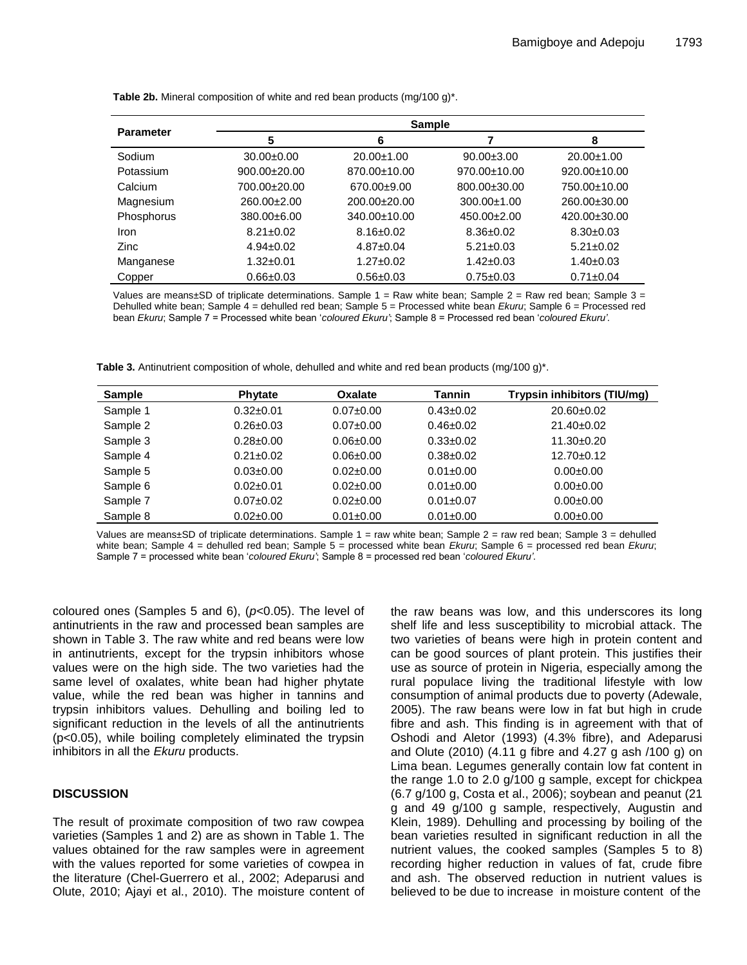|                  | <b>Sample</b>   |                    |                    |                    |  |  |  |
|------------------|-----------------|--------------------|--------------------|--------------------|--|--|--|
| <b>Parameter</b> | 5               | 6                  | 7                  | 8                  |  |  |  |
| Sodium           | $30.00+0.00$    | $20.00 \pm 1.00$   | $90.00 \pm 3.00$   | $20.00 \pm 1.00$   |  |  |  |
| Potassium        | $900.00+20.00$  | 870.00±10.00       | $970.00 \pm 10.00$ | $920.00 \pm 10.00$ |  |  |  |
| Calcium          | 700.00±20.00    | 670.00±9.00        | 800.00±30.00       | 750.00±10.00       |  |  |  |
| Magnesium        | $260.00+2.00$   | 200.00±20.00       | $300.00 \pm 1.00$  | 260.00±30.00       |  |  |  |
| Phosphorus       | $380.00 + 6.00$ | $340.00 \pm 10.00$ | $450.00+2.00$      | 420.00±30.00       |  |  |  |
| <b>Iron</b>      | $8.21 \pm 0.02$ | $8.16 \pm 0.02$    | $8.36 \pm 0.02$    | $8.30 \pm 0.03$    |  |  |  |
| <b>Zinc</b>      | $4.94 \pm 0.02$ | $4.87 \pm 0.04$    | $5.21 \pm 0.03$    | $5.21 \pm 0.02$    |  |  |  |
| Manganese        | $1.32 \pm 0.01$ | $1.27 \pm 0.02$    | $1.42 \pm 0.03$    | $1.40 \pm 0.03$    |  |  |  |
| Copper           | $0.66 \pm 0.03$ | $0.56 \pm 0.03$    | $0.75 \pm 0.03$    | $0.71 \pm 0.04$    |  |  |  |

**Table 2b.** Mineral composition of white and red bean products (mg/100 g)\*.

Values are means $\pm$ SD of triplicate determinations. Sample  $1 =$  Raw white bean; Sample  $2 =$  Raw red bean; Sample  $3 =$ Dehulled white bean; Sample 4 = dehulled red bean; Sample 5 = Processed white bean *Ekuru*; Sample 6 = Processed red bean *Ekuru*; Sample 7 = Processed white bean '*coloured Ekuru'*; Sample 8 = Processed red bean '*coloured Ekuru'*.

**Table 3.** Antinutrient composition of whole, dehulled and white and red bean products (mg/100 g)\*.

| <b>Sample</b> | <b>Phytate</b>  | Oxalate         | Tannin          | Trypsin inhibitors (TIU/mg) |
|---------------|-----------------|-----------------|-----------------|-----------------------------|
| Sample 1      | $0.32 + 0.01$   | $0.07 + 0.00$   | $0.43 \pm 0.02$ | 20.60±0.02                  |
| Sample 2      | $0.26 \pm 0.03$ | $0.07 + 0.00$   | $0.46 \pm 0.02$ | $21.40\pm0.02$              |
| Sample 3      | $0.28 + 0.00$   | $0.06 + 0.00$   | $0.33+0.02$     | $11.30+0.20$                |
| Sample 4      | $0.21 \pm 0.02$ | $0.06 + 0.00$   | $0.38 \pm 0.02$ | $12.70 \pm 0.12$            |
| Sample 5      | $0.03 \pm 0.00$ | $0.02 \pm 0.00$ | $0.01 \pm 0.00$ | $0.00 + 0.00$               |
| Sample 6      | $0.02 \pm 0.01$ | $0.02 \pm 0.00$ | $0.01 \pm 0.00$ | $0.00 + 0.00$               |
| Sample 7      | $0.07 + 0.02$   | $0.02 \pm 0.00$ | $0.01 \pm 0.07$ | $0.00 + 0.00$               |
| Sample 8      | $0.02 \pm 0.00$ | $0.01 + 0.00$   | $0.01 \pm 0.00$ | $0.00 + 0.00$               |

Values are means±SD of triplicate determinations. Sample 1 = raw white bean; Sample 2 = raw red bean; Sample 3 = dehulled white bean; Sample 4 = dehulled red bean; Sample 5 = processed white bean *Ekuru*; Sample 6 = processed red bean *Ekuru*; Sample 7 = processed white bean '*coloured Ekuru'*; Sample 8 = processed red bean '*coloured Ekuru'*.

coloured ones (Samples 5 and 6), (*p*<0.05). The level of antinutrients in the raw and processed bean samples are shown in Table 3. The raw white and red beans were low in antinutrients, except for the trypsin inhibitors whose values were on the high side. The two varieties had the same level of oxalates, white bean had higher phytate value, while the red bean was higher in tannins and trypsin inhibitors values. Dehulling and boiling led to significant reduction in the levels of all the antinutrients (p<0.05), while boiling completely eliminated the trypsin inhibitors in all the *Ekuru* products.

## **DISCUSSION**

The result of proximate composition of two raw cowpea varieties (Samples 1 and 2) are as shown in Table 1. The values obtained for the raw samples were in agreement with the values reported for some varieties of cowpea in the literature (Chel-Guerrero et al., 2002; Adeparusi and Olute, 2010; Ajayi et al., 2010). The moisture content of the raw beans was low, and this underscores its long shelf life and less susceptibility to microbial attack. The two varieties of beans were high in protein content and can be good sources of plant protein. This justifies their use as source of protein in Nigeria, especially among the rural populace living the traditional lifestyle with low consumption of animal products due to poverty (Adewale, 2005). The raw beans were low in fat but high in crude fibre and ash. This finding is in agreement with that of Oshodi and Aletor (1993) (4.3% fibre), and Adeparusi and Olute (2010) (4.11 g fibre and 4.27 g ash /100 g) on Lima bean. Legumes generally contain low fat content in the range 1.0 to 2.0 g/100 g sample, except for chickpea (6.7 g/100 g, Costa et al., 2006); soybean and peanut (21 g and 49 g/100 g sample, respectively, Augustin and Klein, 1989). Dehulling and processing by boiling of the bean varieties resulted in significant reduction in all the nutrient values, the cooked samples (Samples 5 to 8) recording higher reduction in values of fat, crude fibre and ash. The observed reduction in nutrient values is believed to be due to increase in moisture content of the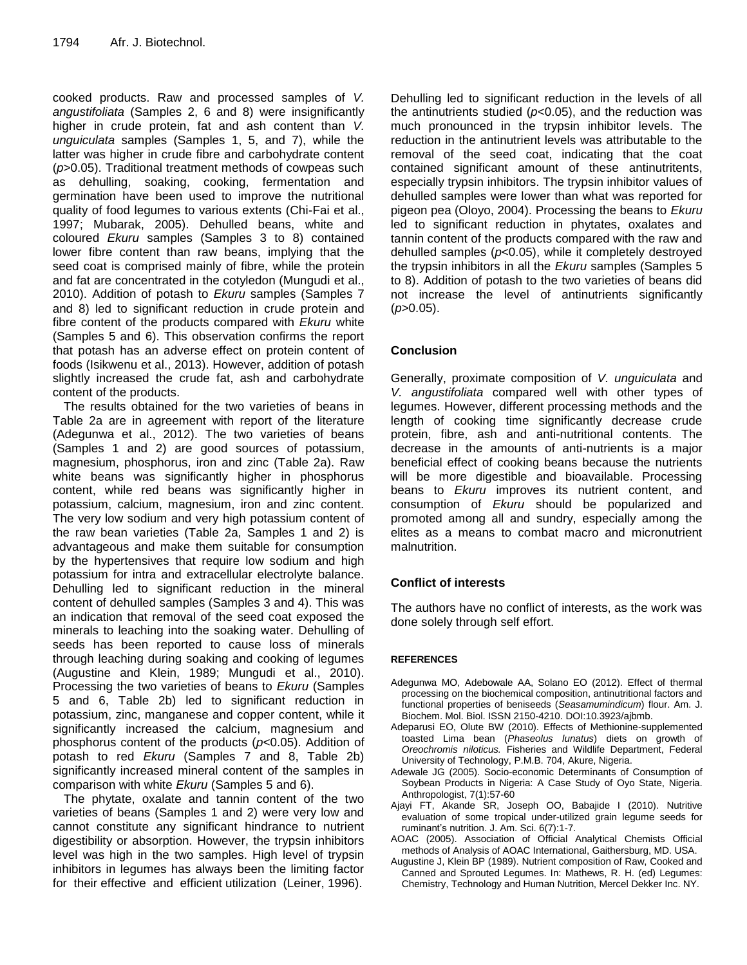cooked products. Raw and processed samples of *V. angustifoliata* (Samples 2, 6 and 8) were insignificantly higher in crude protein, fat and ash content than *V. unguiculata* samples (Samples 1, 5, and 7), while the latter was higher in crude fibre and carbohydrate content (*p*>0.05). Traditional treatment methods of cowpeas such as dehulling, soaking, cooking, fermentation and germination have been used to improve the nutritional quality of food legumes to various extents (Chi-Fai et al., 1997; Mubarak, 2005). Dehulled beans, white and coloured *Ekuru* samples (Samples 3 to 8) contained lower fibre content than raw beans, implying that the seed coat is comprised mainly of fibre, while the protein and fat are concentrated in the cotyledon (Mungudi et al., 2010). Addition of potash to *Ekuru* samples (Samples 7 and 8) led to significant reduction in crude protein and fibre content of the products compared with *Ekuru* white (Samples 5 and 6). This observation confirms the report that potash has an adverse effect on protein content of foods (Isikwenu et al., 2013). However, addition of potash slightly increased the crude fat, ash and carbohydrate content of the products.

The results obtained for the two varieties of beans in Table 2a are in agreement with report of the literature (Adegunwa et al., 2012). The two varieties of beans (Samples 1 and 2) are good sources of potassium, magnesium, phosphorus, iron and zinc (Table 2a). Raw white beans was significantly higher in phosphorus content, while red beans was significantly higher in potassium, calcium, magnesium, iron and zinc content. The very low sodium and very high potassium content of the raw bean varieties (Table 2a, Samples 1 and 2) is advantageous and make them suitable for consumption by the hypertensives that require low sodium and high potassium for intra and extracellular electrolyte balance. Dehulling led to significant reduction in the mineral content of dehulled samples (Samples 3 and 4). This was an indication that removal of the seed coat exposed the minerals to leaching into the soaking water. Dehulling of seeds has been reported to cause loss of minerals through leaching during soaking and cooking of legumes (Augustine and Klein, 1989; Mungudi et al., 2010). Processing the two varieties of beans to *Ekuru* (Samples 5 and 6, Table 2b) led to significant reduction in potassium, zinc, manganese and copper content, while it significantly increased the calcium, magnesium and phosphorus content of the products (*p*<0.05). Addition of potash to red *Ekuru* (Samples 7 and 8, Table 2b) significantly increased mineral content of the samples in comparison with white *Ekuru* (Samples 5 and 6).

The phytate, oxalate and tannin content of the two varieties of beans (Samples 1 and 2) were very low and cannot constitute any significant hindrance to nutrient digestibility or absorption. However, the trypsin inhibitors level was high in the two samples. High level of trypsin inhibitors in legumes has always been the limiting factor for their effective and efficient utilization (Leiner, 1996).

Dehulling led to significant reduction in the levels of all the antinutrients studied (*p*<0.05), and the reduction was much pronounced in the trypsin inhibitor levels. The reduction in the antinutrient levels was attributable to the removal of the seed coat, indicating that the coat contained significant amount of these antinutritents, especially trypsin inhibitors. The trypsin inhibitor values of dehulled samples were lower than what was reported for pigeon pea (Oloyo, 2004). Processing the beans to *Ekuru* led to significant reduction in phytates, oxalates and tannin content of the products compared with the raw and dehulled samples (*p*<0.05), while it completely destroyed the trypsin inhibitors in all the *Ekuru* samples (Samples 5 to 8). Addition of potash to the two varieties of beans did not increase the level of antinutrients significantly (*p*>0.05).

## **Conclusion**

Generally, proximate composition of *V. unguiculata* and *V. angustifoliata* compared well with other types of legumes. However, different processing methods and the length of cooking time significantly decrease crude protein, fibre, ash and anti-nutritional contents. The decrease in the amounts of anti-nutrients is a major beneficial effect of cooking beans because the nutrients will be more digestible and bioavailable. Processing beans to *Ekuru* improves its nutrient content, and consumption of *Ekuru* should be popularized and promoted among all and sundry, especially among the elites as a means to combat macro and micronutrient malnutrition.

## **Conflict of interests**

The authors have no conflict of interests, as the work was done solely through self effort.

## **REFERENCES**

- Adegunwa MO, Adebowale AA, Solano EO (2012). Effect of thermal processing on the biochemical composition, antinutritional factors and functional properties of beniseeds (*Seasamumindicum*) flour. Am. J. Biochem. Mol. Biol. ISSN 2150-4210. DOI:10.3923/ajbmb.
- Adeparusi EO, Olute BW (2010). Effects of Methionine-supplemented toasted Lima bean (*Phaseolus lunatus*) diets on growth of *Oreochromis niloticus.* Fisheries and Wildlife Department, Federal University of Technology, P.M.B. 704, Akure, Nigeria.
- Adewale JG (2005). Socio-economic Determinants of Consumption of Soybean Products in Nigeria: A Case Study of Oyo State, Nigeria. Anthropologist, 7(1):57-60
- Ajayi FT, Akande SR, Joseph OO, Babajide I (2010). Nutritive evaluation of some tropical under-utilized grain legume seeds for ruminant's nutrition. J. Am. Sci. 6(7):1-7.
- AOAC (2005). Association of Official Analytical Chemists Official methods of Analysis of AOAC International, Gaithersburg, MD. USA.
- Augustine J, Klein BP (1989). Nutrient composition of Raw, Cooked and Canned and Sprouted Legumes. In: Mathews, R. H. (ed) Legumes: Chemistry, Technology and Human Nutrition, Mercel Dekker Inc. NY.